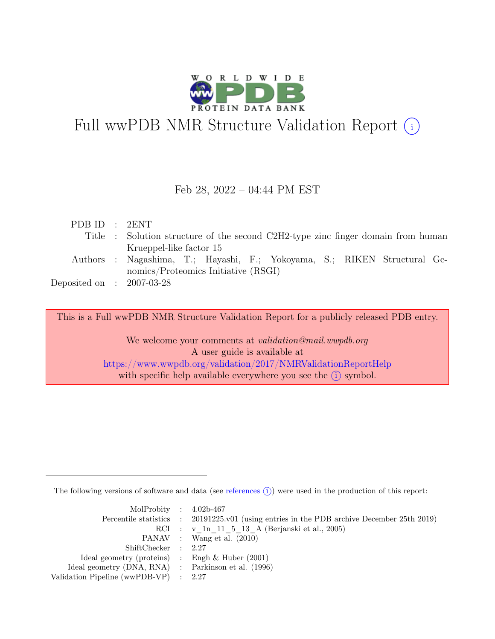

# Full wwPDB NMR Structure Validation Report (i)

#### Feb 28, 2022 – 04:44 PM EST

| PDB ID : 2ENT               |                                                                                  |
|-----------------------------|----------------------------------------------------------------------------------|
|                             | Title : Solution structure of the second C2H2-type zinc finger domain from human |
|                             | Krueppel-like factor 15                                                          |
|                             | Authors : Nagashima, T.; Hayashi, F.; Yokoyama, S.; RIKEN Structural Ge-         |
|                             | nomics/Proteomics Initiative (RSGI)                                              |
| Deposited on : $2007-03-28$ |                                                                                  |

This is a Full wwPDB NMR Structure Validation Report for a publicly released PDB entry.

We welcome your comments at *validation@mail.wwpdb.org* A user guide is available at <https://www.wwpdb.org/validation/2017/NMRValidationReportHelp> with specific help available everywhere you see the  $(i)$  symbol.

The following versions of software and data (see [references](https://www.wwpdb.org/validation/2017/NMRValidationReportHelp#references)  $\hat{I}$ ) were used in the production of this report:

| MolProbity : $4.02b-467$                            |                                                                                            |
|-----------------------------------------------------|--------------------------------------------------------------------------------------------|
|                                                     | Percentile statistics : 20191225.v01 (using entries in the PDB archive December 25th 2019) |
|                                                     | RCI : v 1n 11 5 13 A (Berjanski et al., 2005)                                              |
|                                                     | PANAV : Wang et al. (2010)                                                                 |
| ShiftChecker : 2.27                                 |                                                                                            |
| Ideal geometry (proteins) : Engh $\&$ Huber (2001)  |                                                                                            |
| Ideal geometry (DNA, RNA) : Parkinson et al. (1996) |                                                                                            |
| Validation Pipeline (wwPDB-VP) : $2.27$             |                                                                                            |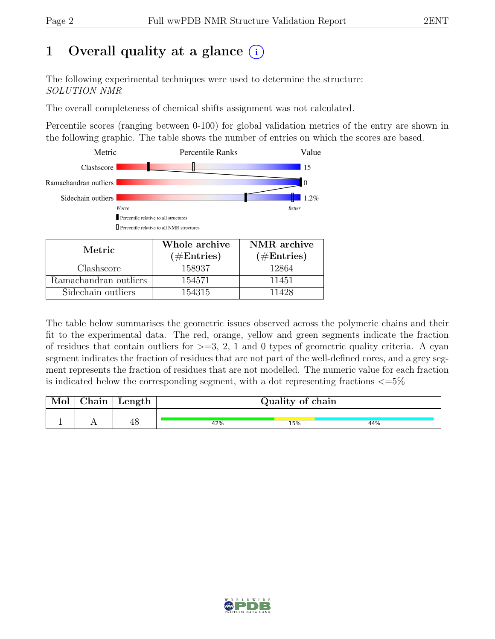# 1 Overall quality at a glance  $(i)$

The following experimental techniques were used to determine the structure: SOLUTION NMR

The overall completeness of chemical shifts assignment was not calculated.

Percentile scores (ranging between 0-100) for global validation metrics of the entry are shown in the following graphic. The table shows the number of entries on which the scores are based.



| Metric.               | Whole archive | NMR archive   |
|-----------------------|---------------|---------------|
|                       | $(\#Entries)$ | $(\#Entries)$ |
| Clashscore            | 158937        | 12864         |
| Ramachandran outliers | 154571        | 11451         |
| Sidechain outliers    | 154315        | 11428         |

The table below summarises the geometric issues observed across the polymeric chains and their fit to the experimental data. The red, orange, yellow and green segments indicate the fraction of residues that contain outliers for  $>=$  3, 2, 1 and 0 types of geometric quality criteria. A cyan segment indicates the fraction of residues that are not part of the well-defined cores, and a grey segment represents the fraction of residues that are not modelled. The numeric value for each fraction is indicated below the corresponding segment, with a dot representing fractions  $\langle=5\%$ 

| Mol | Chain | $\mathsf{Length}$ | Quality of chain |     |     |  |
|-----|-------|-------------------|------------------|-----|-----|--|
|     |       | 48                | 42%              | 15% | 44% |  |

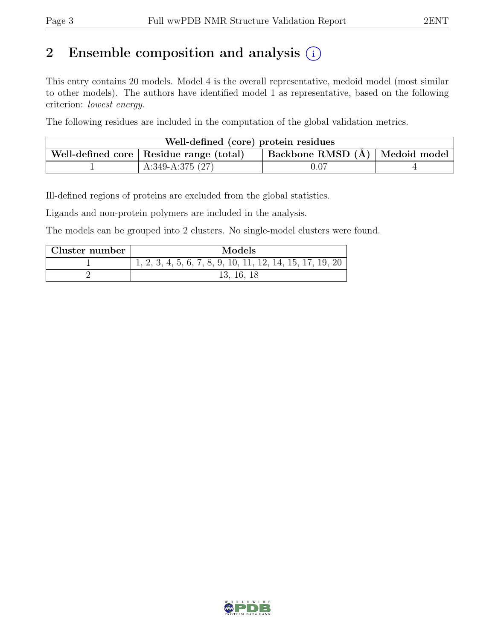# 2 Ensemble composition and analysis  $(i)$

This entry contains 20 models. Model 4 is the overall representative, medoid model (most similar to other models). The authors have identified model 1 as representative, based on the following criterion: lowest energy.

The following residues are included in the computation of the global validation metrics.

| Well-defined (core) protein residues                                            |                    |          |  |  |  |
|---------------------------------------------------------------------------------|--------------------|----------|--|--|--|
| Backbone RMSD (Å)   Medoid model  <br>Well-defined core   Residue range (total) |                    |          |  |  |  |
|                                                                                 | A:349-A:375 $(27)$ | $0.07\,$ |  |  |  |

Ill-defined regions of proteins are excluded from the global statistics.

Ligands and non-protein polymers are included in the analysis.

The models can be grouped into 2 clusters. No single-model clusters were found.

| Cluster number | Models                                                      |
|----------------|-------------------------------------------------------------|
|                | $1, 2, 3, 4, 5, 6, 7, 8, 9, 10, 11, 12, 14, 15, 17, 19, 20$ |
|                | 13, 16, 18                                                  |

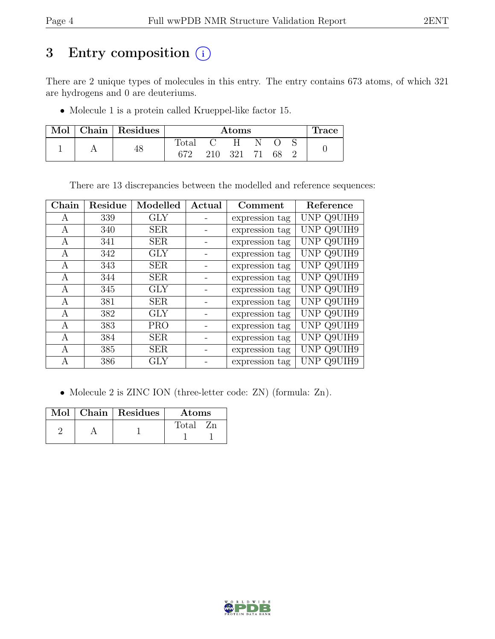# 3 Entry composition (i)

There are 2 unique types of molecules in this entry. The entry contains 673 atoms, of which 321 are hydrogens and 0 are deuteriums.

• Molecule 1 is a protein called Krueppel-like factor 15.

|  | Mol   Chain   Residues | Atoms          |     |     |  | <b>Trace</b> |  |  |
|--|------------------------|----------------|-----|-----|--|--------------|--|--|
|  |                        | $\text{Total}$ |     | H   |  |              |  |  |
|  | 40                     | 672            | 210 | 321 |  | -68          |  |  |

There are 13 discrepancies between the modelled and reference sequences:

| ${\rm Chain}$ | Residue | Modelled   | Actual | Comment        | Reference  |
|---------------|---------|------------|--------|----------------|------------|
| A             | 339     | <b>GLY</b> |        | expression tag | UNP Q9UIH9 |
| А             | 340     | <b>SER</b> |        | expression tag | UNP Q9UIH9 |
| A             | 341     | <b>SER</b> |        | expression tag | UNP Q9UIH9 |
| А             | 342     | GLY        |        | expression tag | UNP Q9UIH9 |
| А             | 343     | <b>SER</b> |        | expression tag | UNP Q9UIH9 |
| А             | 344     | <b>SER</b> |        | expression tag | UNP Q9UIH9 |
| А             | 345     | <b>GLY</b> |        | expression tag | UNP Q9UIH9 |
| А             | 381     | <b>SER</b> |        | expression tag | UNP Q9UIH9 |
| A             | 382     | <b>GLY</b> |        | expression tag | UNP Q9UIH9 |
| A             | 383     | <b>PRO</b> |        | expression tag | UNP Q9UIH9 |
| А             | 384     | <b>SER</b> |        | expression tag | UNP Q9UIH9 |
| A             | 385     | <b>SER</b> |        | expression tag | UNP Q9UIH9 |
| A             | 386     | <b>GLY</b> |        | expression tag | UNP Q9UIH9 |

• Molecule 2 is ZINC ION (three-letter code: ZN) (formula: Zn).

|  | Mol   Chain   Residues | <b>Atoms</b> |
|--|------------------------|--------------|
|  |                        | Total        |
|  |                        |              |

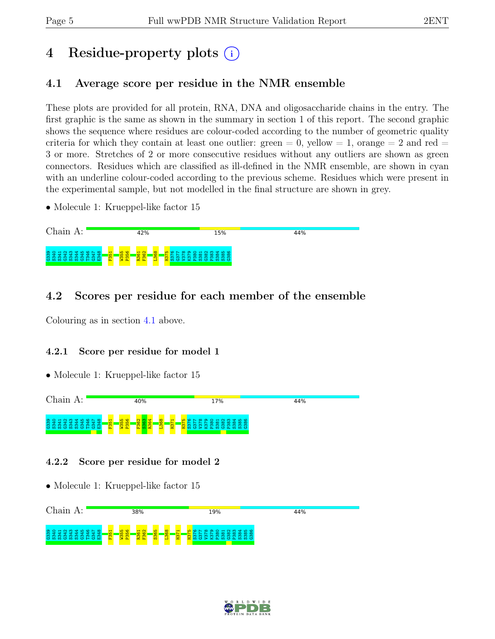# 4 Residue-property plots (i)

## <span id="page-4-0"></span>4.1 Average score per residue in the NMR ensemble

These plots are provided for all protein, RNA, DNA and oligosaccharide chains in the entry. The first graphic is the same as shown in the summary in section 1 of this report. The second graphic shows the sequence where residues are colour-coded according to the number of geometric quality criteria for which they contain at least one outlier:  $green = 0$ ,  $yellow = 1$ ,  $orange = 2$  and  $red =$ 3 or more. Stretches of 2 or more consecutive residues without any outliers are shown as green connectors. Residues which are classified as ill-defined in the NMR ensemble, are shown in cyan with an underline colour-coded according to the previous scheme. Residues which were present in the experimental sample, but not modelled in the final structure are shown in grey.

• Molecule 1: Krueppel-like factor 15



### 4.2 Scores per residue for each member of the ensemble

Colouring as in section [4.1](#page-4-0) above.

#### 4.2.1 Score per residue for model 1

• Molecule 1: Krueppel-like factor 15



#### 4.2.2 Score per residue for model 2



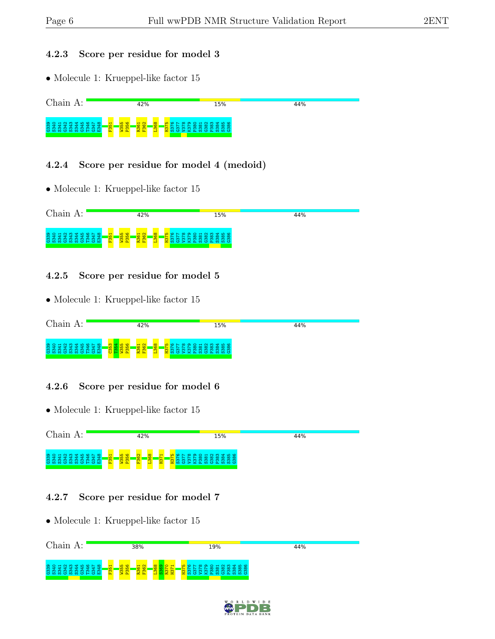#### 4.2.3 Score per residue for model 3

• Molecule 1: Krueppel-like factor 15



#### 4.2.4 Score per residue for model 4 (medoid)

• Molecule 1: Krueppel-like factor 15



#### 4.2.5 Score per residue for model 5

• Molecule 1: Krueppel-like factor 15



#### 4.2.6 Score per residue for model 6

• Molecule 1: Krueppel-like factor 15



#### 4.2.7 Score per residue for model 7



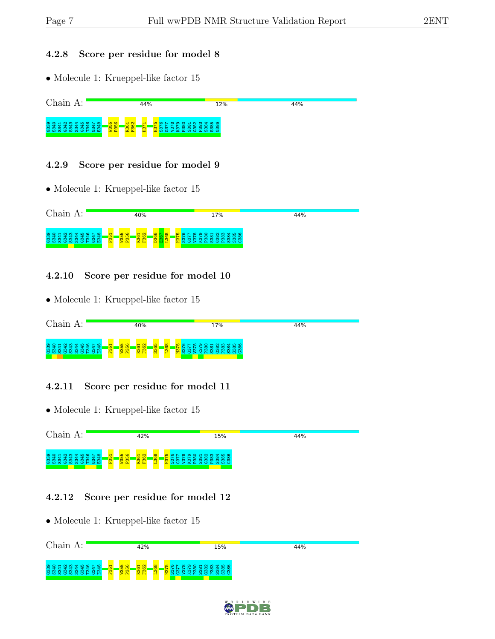#### 4.2.8 Score per residue for model 8

• Molecule 1: Krueppel-like factor 15



#### 4.2.9 Score per residue for model 9

• Molecule 1: Krueppel-like factor 15



#### 4.2.10 Score per residue for model 10

• Molecule 1: Krueppel-like factor 15

| Chain<br>А:                                | 40%                                                                                                                                                       | 17%                                                                                                                                  | 44% |
|--------------------------------------------|-----------------------------------------------------------------------------------------------------------------------------------------------------------|--------------------------------------------------------------------------------------------------------------------------------------|-----|
| 3340<br>444<br>⁄ ਚਾ<br><b>COOCCOOCCHCH</b> | <b>CO</b><br>$\overline{M}$ $\alpha$<br>$\mathbf -$<br>$\frac{1}{8}$<br><b>BB</b><br>$\mathbf{2}$<br>$\circ$<br>$\frac{1}{26}$<br><u>, 87</u><br>ဇ္တ<br>÷ | 888012456<br><u> പരിധ</u><br>$\infty$ $\infty$ $\infty$<br>∞ ∞<br>്യ സ<br>_ യ<br>~<br>് ത<br>ന<br>ო ო<br>m<br>ന<br>ന<br>0 > 20000000 |     |

#### 4.2.11 Score per residue for model 11

• Molecule 1: Krueppel-like factor 15



#### 4.2.12 Score per residue for model 12



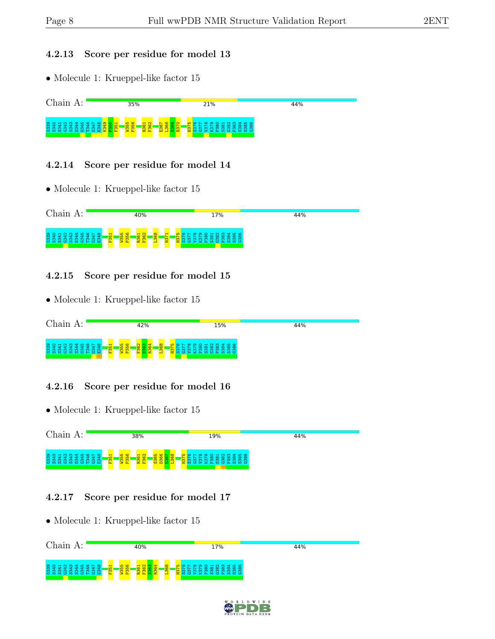#### 4.2.13 Score per residue for model 13

• Molecule 1: Krueppel-like factor 15



#### 4.2.14 Score per residue for model 14

• Molecule 1: Krueppel-like factor 15



#### 4.2.15 Score per residue for model 15

• Molecule 1: Krueppel-like factor 15



#### 4.2.16 Score per residue for model 16

• Molecule 1: Krueppel-like factor 15



#### 4.2.17 Score per residue for model 17



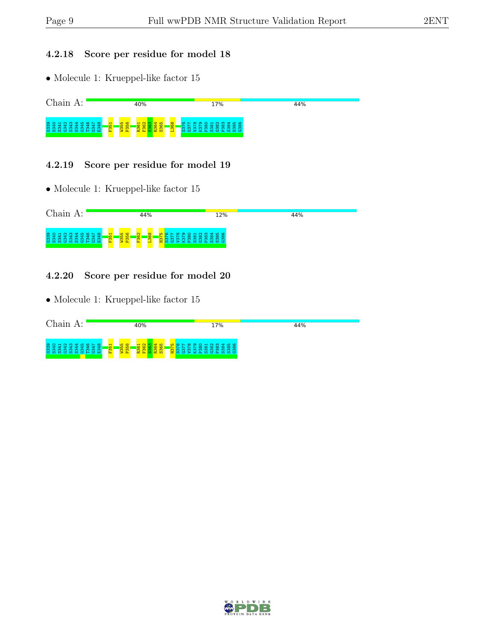#### 4.2.18 Score per residue for model 18

 $\bullet$  Molecule 1: Krueppel-like factor  $15$ 



#### 4.2.19 Score per residue for model 19

• Molecule 1: Krueppel-like factor 15



#### 4.2.20 Score per residue for model 20

| Chain A:          | 40%                                                                                                                                           | 17%                                                                                  | 44% |
|-------------------|-----------------------------------------------------------------------------------------------------------------------------------------------|--------------------------------------------------------------------------------------|-----|
| <b>COOCOOCHCH</b> | <u> က</u> ထ<br>$\overline{\phantom{0}}$<br><u>പ സ</u><br>$M$ $\Omega$<br>$\frac{8}{36}$<br><mark>, ಹಿ</mark><br>$\frac{1}{26}$<br>$\alpha$ to | <u> ഗ ര</u> പ<br>*****<br>_ ೫<br>೫<br>$\sim$<br>È<br>$\sim$<br>ന<br>$\infty$<br>: നി |     |

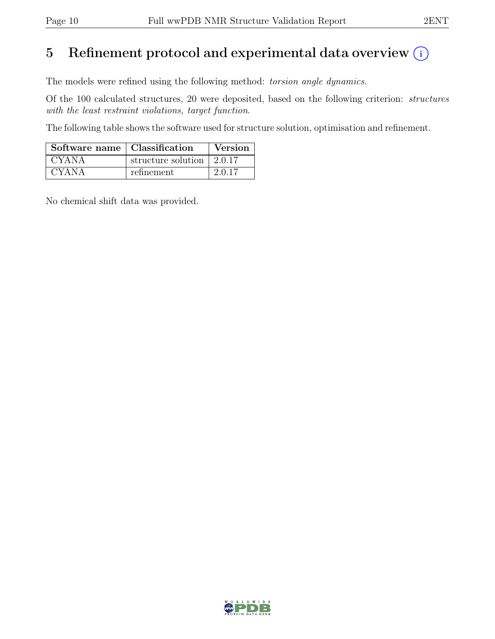# 5 Refinement protocol and experimental data overview  $(i)$

The models were refined using the following method: torsion angle dynamics.

Of the 100 calculated structures, 20 were deposited, based on the following criterion: structures with the least restraint violations, target function.

The following table shows the software used for structure solution, optimisation and refinement.

| Software name   Classification |                                         | Version |
|--------------------------------|-----------------------------------------|---------|
| <b>CYANA</b>                   | structure solution $\vert 2.0.17 \vert$ |         |
| <b>CYANA</b>                   | refinement                              | 2.0.17  |

No chemical shift data was provided.

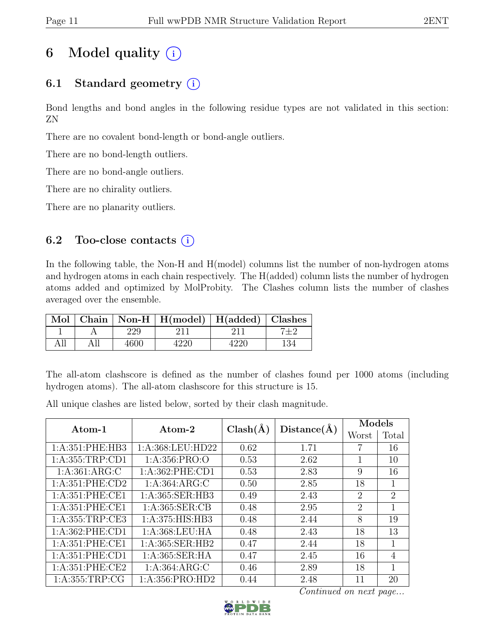# 6 Model quality  $(i)$

# 6.1 Standard geometry  $(i)$

Bond lengths and bond angles in the following residue types are not validated in this section: ZN

There are no covalent bond-length or bond-angle outliers.

There are no bond-length outliers.

There are no bond-angle outliers.

There are no chirality outliers.

There are no planarity outliers.

### 6.2 Too-close contacts  $(i)$

In the following table, the Non-H and H(model) columns list the number of non-hydrogen atoms and hydrogen atoms in each chain respectively. The H(added) column lists the number of hydrogen atoms added and optimized by MolProbity. The Clashes column lists the number of clashes averaged over the ensemble.

| Mol |      | Chain   Non-H   H(model)   H(added)   Clashes |  |
|-----|------|-----------------------------------------------|--|
|     |      |                                               |  |
|     | 4600 |                                               |  |

The all-atom clashscore is defined as the number of clashes found per 1000 atoms (including hydrogen atoms). The all-atom clashscore for this structure is 15.

All unique clashes are listed below, sorted by their clash magnitude.

| Atom-1              | Atom-2              | $Clash(\AA)$ | Distance(A) | Models         |                |
|---------------------|---------------------|--------------|-------------|----------------|----------------|
|                     |                     |              |             | Worst          | Total          |
| 1: A:351: PHE:HB3   | 1:A:368:LEU:HD22    | 0.62         | 1.71        |                | 16             |
| 1: A: 355: TRP: CD1 | 1: A: 356: PRO:O    | 0.53         | 2.62        | 1              | 10             |
| 1: A:361: ARG: C    | 1: A:362: PHE:CD1   | 0.53         | 2.83        | 9              | 16             |
| 1: A:351: PHE:CD2   | 1: A:364: ARG: C    | 0.50         | 2.85        | 18             | 1              |
| 1:A:351:PHE:CE1     | 1:A:365:SER:HB3     | 0.49         | 2.43        | $\overline{2}$ | $\overline{2}$ |
| 1:A:351:PHE:CE1     | 1: A:365: SER:CB    | 0.48         | 2.95        | 2              | 1              |
| 1: A: 355: TRP: CE3 | 1: A:375: HIS: HB3  | 0.48         | 2.44        | 8              | 19             |
| 1: A:362: PHE:CD1   | 1: A:368:LEU:HA     | 0.48         | 2.43        | 18             | 13             |
| 1: A:351: PHE:CE1   | 1: A: 365: SER: HB2 | 0.47         | 2.44        | 18             | 1              |
| 1: A:351: PHE:CD1   | 1:A:365:SER:HA      | 0.47         | 2.45        | 16             | $\overline{4}$ |
| 1:A:351:PHE:CE2     | 1: A:364: ARG: C    | 0.46         | 2.89        | 18             | 1              |
| 1: A: 355: TRP: CG  | 1:A:356:PRO:HD2     | 0.44         | 2.48        | 11             | 20             |

Continued on next page...

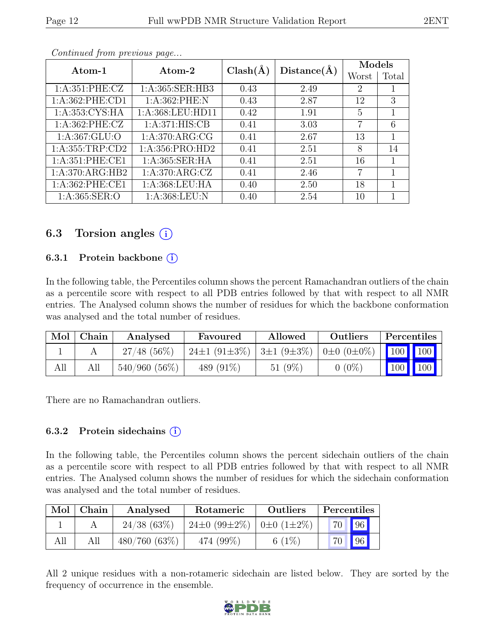|--|

|                     | Atom-2             | $Clash(\AA)$ | Distance(A) | Models |       |
|---------------------|--------------------|--------------|-------------|--------|-------|
| $\rm{Atom-1}$       |                    |              |             | Worst  | Total |
| 1: A:351: PHE: CZ   | 1:A:365:SER:HB3    | 0.43         | 2.49        | 2      |       |
| 1:A:362:PHE:CD1     | 1:A:362:PHE:N      | 0.43         | 2.87        | 12     | 3     |
| 1:A:353:CYS:HA      | 1:A:368:LEU:HD11   | 0.42         | 1.91        | 5      | 1     |
| 1: A:362: PHE: CZ   | 1: A:371: HIS: CB  | 0.41         | 3.03        | 7      | 6     |
| 1: A: 367: GLU:O    | 1: A:370: ARG: CG  | 0.41         | 2.67        | 13     | 1     |
| 1: A: 355: TRP: CD2 | 1:A:356:PRO:HD2    | 0.41         | 2.51        | 8      | 14    |
| 1: A:351: PHE:CE1   | 1:A:365:SER:HA     | 0.41         | 2.51        | 16     |       |
| 1: A:370: ARG: HB2  | 1: A:370: ARG: CZ  | 0.41         | 2.46        | 7      |       |
| 1: A:362: PHE:CE1   | 1: A: 368: LEU: HA | 0.40         | 2.50        | 18     |       |
| 1: A:365: SER:O     | 1: A: 368: LEU: N  | 0.40         | 2.54        | 10     |       |

Continued from previous page...

### 6.3 Torsion angles  $(i)$

#### 6.3.1 Protein backbone  $(i)$

In the following table, the Percentiles column shows the percent Ramachandran outliers of the chain as a percentile score with respect to all PDB entries followed by that with respect to all NMR entries. The Analysed column shows the number of residues for which the backbone conformation was analysed and the total number of residues.

| Mol | Chain | Analysed        | Favoured                 | Allowed                            | Outliers   | Percentiles         |         |
|-----|-------|-----------------|--------------------------|------------------------------------|------------|---------------------|---------|
|     |       | $27/48$ (56\%)  | 24 $\pm$ 1 (91 $\pm$ 3%) | $3\pm1(9\pm3\%)$ 0 $\pm0(0\pm0\%)$ |            | $\frac{1}{100}$ 100 |         |
| All | All   | $540/960(56\%)$ | 489 $(91\%)$             | 51 $(9\%)$                         | $0\ (0\%)$ |                     | 100 100 |

There are no Ramachandran outliers.

#### 6.3.2 Protein sidechains  $(i)$

In the following table, the Percentiles column shows the percent sidechain outliers of the chain as a percentile score with respect to all PDB entries followed by that with respect to all NMR entries. The Analysed column shows the number of residues for which the sidechain conformation was analysed and the total number of residues.

| Mol | Chain | Analysed     | Rotameric                                        | <b>Outliers</b> | Percentiles     |             |  |
|-----|-------|--------------|--------------------------------------------------|-----------------|-----------------|-------------|--|
|     |       | 24/38(63%)   | $24\pm0$ (99 $\pm2\%$ )   0 $\pm0$ (1 $\pm2\%$ ) |                 |                 | 70 96       |  |
| All |       | 480/760(63%) | 474 (99%)                                        | 6 $(1\%)$       | 70 <sub>1</sub> | $\sqrt{96}$ |  |

All 2 unique residues with a non-rotameric sidechain are listed below. They are sorted by the frequency of occurrence in the ensemble.

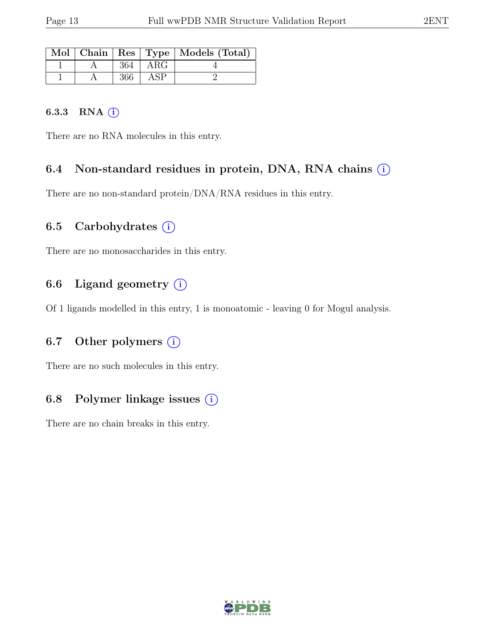|  |             | Mol   Chain   Res   Type   Models (Total) |
|--|-------------|-------------------------------------------|
|  | $364$   ARG |                                           |
|  | $366$ ASP   |                                           |

#### 6.3.3 RNA  $(i)$

There are no RNA molecules in this entry.

### 6.4 Non-standard residues in protein, DNA, RNA chains  $(i)$

There are no non-standard protein/DNA/RNA residues in this entry.

### 6.5 Carbohydrates  $(i)$

There are no monosaccharides in this entry.

### 6.6 Ligand geometry  $(i)$

Of 1 ligands modelled in this entry, 1 is monoatomic - leaving 0 for Mogul analysis.

### 6.7 Other polymers  $(i)$

There are no such molecules in this entry.

### 6.8 Polymer linkage issues  $(i)$

There are no chain breaks in this entry.